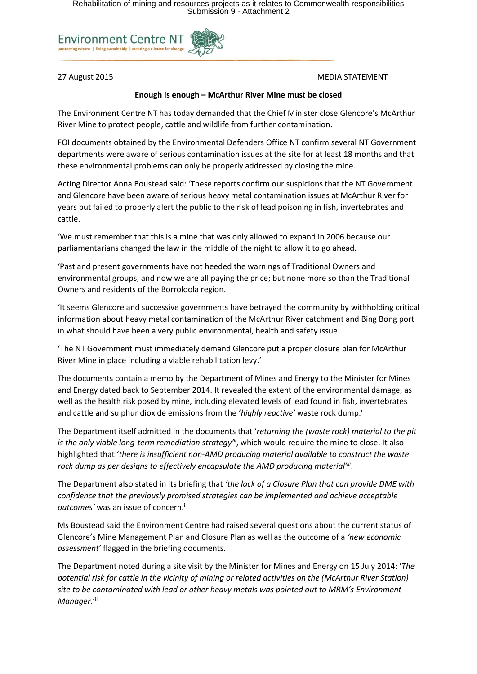

## 27 August 2015 MEDIA STATEMENT

# **Enough is enough – McArthur River Mine must be closed**

The Environment Centre NT has today demanded that the Chief Minister close Glencore's McArthur River Mine to protect people, cattle and wildlife from further contamination.

FOI documents obtained by the Environmental Defenders Office NT confirm several NT Government departments were aware of serious contamination issues at the site for at least 18 months and that these environmental problems can only be properly addressed by closing the mine.

Acting Director Anna Boustead said: 'These reports confirm our suspicions that the NT Government and Glencore have been aware of serious heavy metal contamination issues at McArthur River for years but failed to properly alert the public to the risk of lead poisoning in fish, invertebrates and cattle.

'We must remember that this is a mine that was only allowed to expand in 2006 because our parliamentarians changed the law in the middle of the night to allow it to go ahead.

'Past and present governments have not heeded the warnings of Traditional Owners and environmental groups, and now we are all paying the price; but none more so than the Traditional Owners and residents of the Borroloola region.

'It seems Glencore and successive governments have betrayed the community by withholding critical information about heavy metal contamination of the McArthur River catchment and Bing Bong port in what should have been a very public environmental, health and safety issue.

'The NT Government must immediately demand Glencore put a proper closure plan for McArthur River Mine in place including a viable rehabilitation levy.'

The documents contain a memo by the Department of Mines and Energy to the Minister for Mines and Energy dated back to September 2014. It revealed the extent of the environmental damage, as well as the health risk posed by mine, including elevated levels of lead found in fish, invertebrates and cattle and sulphur dioxide emissions from the '*highly reactive'* waste rock dump.<sup>i</sup>

The Department itself admitted in the documents that '*returning the (waste rock) material to the pit is the only viable long-term remediation strategy'ii*, which would require the mine to close. It also highlighted that '*there is insufficient non-AMD producing material available to construct the waste rock dump as per designs to effectively encapsulate the AMD producing material'iii* .

The Department also stated in its briefing that *'the lack of a Closure Plan that can provide DME with confidence that the previously promised strategies can be implemented and achieve acceptable outcomes'* was an issue of concern. i

Ms Boustead said the Environment Centre had raised several questions about the current status of Glencore's Mine Management Plan and Closure Plan as well as the outcome of a *'new economic assessment'* flagged in the briefing documents.

The Department noted during a site visit by the Minister for Mines and Energy on 15 July 2014: '*The potential risk for cattle in the vicinity of mining or related activities on the (McArthur River Station) site to be contaminated with lead or other heavy metals was pointed out to MRM's Environment Manager*.'iii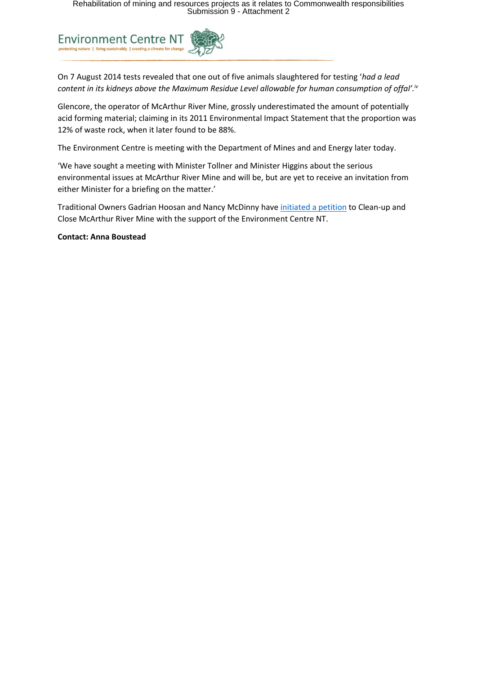

On 7 August 2014 tests revealed that one out of five animals slaughtered for testing '*had a lead content in its kidneys above the Maximum Residue Level allowable for human consumption of offal'.iv*

Glencore, the operator of McArthur River Mine, grossly underestimated the amount of potentially acid forming material; claiming in its 2011 Environmental Impact Statement that the proportion was 12% of waste rock, when it later found to be 88%.

The Environment Centre is meeting with the Department of Mines and and Energy later today.

'We have sought a meeting with Minister Tollner and Minister Higgins about the serious environmental issues at McArthur River Mine and will be, but are yet to receive an invitation from either Minister for a briefing on the matter.'

Traditional Owners Gadrian Hoosan and Nancy McDinny have [initiated a petition](https://www.change.org/p/nt-chief-minister-adam-giles-clean-up-and-close-glencore-s-mcarthur-river-mine) to Clean-up and Close McArthur River Mine with the support of the Environment Centre NT.

**Contact: Anna Boustead**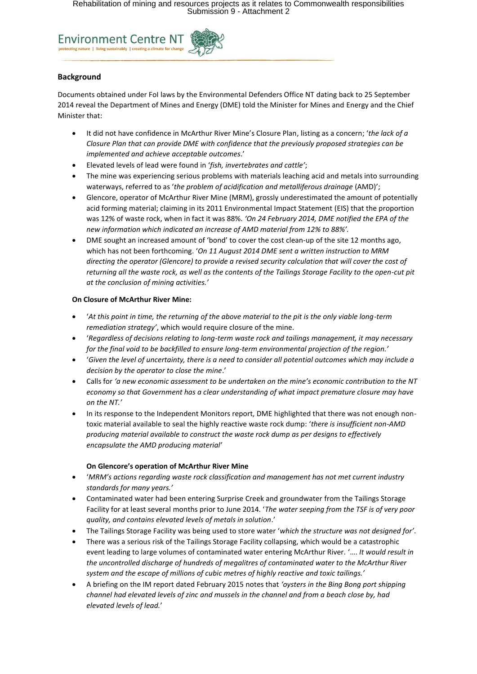

## **Background**

Documents obtained under FoI laws by the Environmental Defenders Office NT dating back to 25 September 2014 reveal the Department of Mines and Energy (DME) told the Minister for Mines and Energy and the Chief Minister that:

- It did not have confidence in McArthur River Mine's Closure Plan, listing as a concern; '*the lack of a Closure Plan that can provide DME with confidence that the previously proposed strategies can be implemented and achieve acceptable outcomes*.'
- Elevated levels of lead were found in '*fish, invertebrates and cattle'*;
- The mine was experiencing serious problems with materials leaching acid and metals into surrounding waterways, referred to as '*the problem of acidification and metalliferous drainage* (AMD)';
- Glencore, operator of McArthur River Mine (MRM), grossly underestimated the amount of potentially acid forming material; claiming in its 2011 Environmental Impact Statement (EIS) that the proportion was 12% of waste rock, when in fact it was 88%. *'On 24 February 2014, DME notified the EPA of the new information which indicated an increase of AMD material from 12% to 88%'.*
- DME sought an increased amount of 'bond' to cover the cost clean-up of the site 12 months ago, which has not been forthcoming. '*On 11 August 2014 DME sent a written instruction to MRM directing the operator (Glencore) to provide a revised security calculation that will cover the cost of returning all the waste rock, as well as the contents of the Tailings Storage Facility to the open-cut pit at the conclusion of mining activities.'*

### **On Closure of McArthur River Mine:**

- '*At this point in time, the returning of the above material to the pit is the only viable long-term remediation strategy'*, which would require closure of the mine.
- '*Regardless of decisions relating to long-term waste rock and tailings management, it may necessary for the final void to be backfilled to ensure long-term environmental projection of the region.'*
- '*Given the level of uncertainty, there is a need to consider all potential outcomes which may include a decision by the operator to close the mine*.'
- Calls for *'a new economic assessment to be undertaken on the mine's economic contribution to the NT economy so that Government has a clear understanding of what impact premature closure may have on the NT.'*
- In its response to the Independent Monitors report, DME highlighted that there was not enough nontoxic material available to seal the highly reactive waste rock dump: '*there is insufficient non-AMD producing material available to construct the waste rock dump as per designs to effectively encapsulate the AMD producing material'*

### **On Glencore's operation of McArthur River Mine**

- '*MRM's actions regarding waste rock classification and management has not met current industry standards for many years.'*
- Contaminated water had been entering Surprise Creek and groundwater from the Tailings Storage Facility for at least several months prior to June 2014. '*The water seeping from the TSF is of very poor quality, and contains elevated levels of metals in solution*.'
- The Tailings Storage Facility was being used to store water '*which the structure was not designed for'*.
- There was a serious risk of the Tailings Storage Facility collapsing, which would be a catastrophic event leading to large volumes of contaminated water entering McArthur River. '…. *It would result in the uncontrolled discharge of hundreds of megalitres of contaminated water to the McArthur River system and the escape of millions of cubic metres of highly reactive and toxic tailings.'*
- A briefing on the IM report dated February 2015 notes that *'oysters in the Bing Bong port shipping channel had elevated levels of zinc and mussels in the channel and from a beach close by, had elevated levels of lead.*'